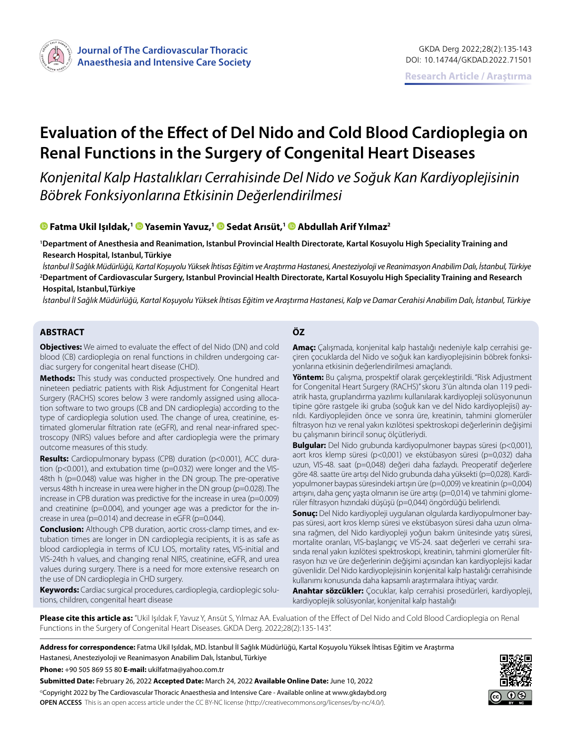

# **Evaluation of the Effect of Del Nido and Cold Blood Cardioplegia on Renal Functions in the Surgery of Congenital Heart Diseases**

*Konjenital Kalp Hastalıkları Cerrahisinde Del Nido ve Soğuk Kan Kardiyoplejisinin Böbrek Fonksiyonlarına Etkisinin Değerlendirilmesi*

#### **Fatma Ukil Işıldak,[1 Y](https://orcid.org/0000-0003-0506-6474)asemin Yavuz,1Sedat Arısüt,1Abdullah Arif Yılmaz2**

**1 Department of Anesthesia and Reanimation, Istanbul Provincial Health Directorate, Kartal Kosuyolu High Speciality Training and Research Hospital, Istanbul, Türkiye**

*İstanbul İl Sağlık Müdürlüğü, Kartal Koşuyolu Yüksek İhtisas Eğitim ve Araştırma Hastanesi, Anesteziyoloji ve Reanimasyon Anabilim Dalı, İstanbul, Türkiye* **2 Department of Cardiovascular Surgery, Istanbul Provincial Health Directorate, Kartal Kosuyolu High Speciality Training and Research Hospital, Istanbul,Türkiye**

*İstanbul İl Sağlık Müdürlüğü, Kartal Koşuyolu Yüksek İhtisas Eğitim ve Araştırma Hastanesi, Kalp ve Damar Cerahisi Anabilim Dalı, İstanbul, Türkiye*

#### **ABSTRACT ÖZ**

**Objectives:** We aimed to evaluate the effect of del Nido (DN) and cold blood (CB) cardioplegia on renal functions in children undergoing cardiac surgery for congenital heart disease (CHD).

**Methods:** This study was conducted prospectively. One hundred and nineteen pediatric patients with Risk Adjustment for Congenital Heart Surgery (RACHS) scores below 3 were randomly assigned using allocation software to two groups (CB and DN cardioplegia) according to the type of cardioplegia solution used. The change of urea, creatinine, estimated glomerular filtration rate (eGFR), and renal near-infrared spectroscopy (NIRS) values before and after cardioplegia were the primary outcome measures of this study.

**Results:** Cardiopulmonary bypass (CPB) duration (p<0.001), ACC duration (p<0.001), and extubation time (p=0.032) were longer and the VIS-48th h (p=0.048) value was higher in the DN group. The pre-operative versus 48th h increase in urea were higher in the DN group (p=0.028). The increase in CPB duration was predictive for the increase in urea ( $p=0.009$ ) and creatinine (p=0.004), and younger age was a predictor for the increase in urea (p=0.014) and decrease in eGFR (p=0.044).

**Conclusion:** Although CPB duration, aortic cross-clamp times, and extubation times are longer in DN cardioplegia recipients, it is as safe as blood cardioplegia in terms of ICU LOS, mortality rates, VIS-initial and VIS-24th h values, and changing renal NIRS, creatinine, eGFR, and urea values during surgery. There is a need for more extensive research on the use of DN cardioplegia in CHD surgery.

**Keywords:** Cardiac surgical procedures, cardioplegia, cardioplegic solutions, children, congenital heart disease

**Amaç:** Çalışmada, konjenital kalp hastalığı nedeniyle kalp cerrahisi geçiren çocuklarda del Nido ve soğuk kan kardiyoplejisinin böbrek fonksiyonlarına etkisinin değerlendirilmesi amaçlandı.

**Yöntem:** Bu çalışma, prospektif olarak gerçekleştirildi. "Risk Adjustment for Congenital Heart Surgery (RACHS)" skoru 3'ün altında olan 119 pediatrik hasta, gruplandırma yazılımı kullanılarak kardiyopleji solüsyonunun tipine göre rastgele iki gruba (soğuk kan ve del Nido kardiyoplejisi) ayrıldı. Kardiyoplejiden önce ve sonra üre, kreatinin, tahmini glomerüler filtrasyon hızı ve renal yakın kızılötesi spektroskopi değerlerinin değişimi bu çalışmanın birincil sonuç ölçütleriydi.

**Bulgular:** Del Nido grubunda kardiyopulmoner baypas süresi (p<0,001), aort kros klemp süresi (p<0,001) ve ekstübasyon süresi (p=0,032) daha uzun, VIS-48. saat (p=0,048) değeri daha fazlaydı. Preoperatif değerlere göre 48. saatte üre artışı del Nido grubunda daha yüksekti (p=0,028). Kardiyopulmoner baypas süresindeki artışın üre (p=0,009) ve kreatinin (p=0,004) artışını, daha genç yaşta olmanın ise üre artışı (p=0,014) ve tahmini glomerüler filtrasyon hızındaki düşüşü (p=0,044) öngördüğü belirlendi.

**Sonuç:** Del Nido kardiyopleji uygulanan olgularda kardiyopulmoner baypas süresi, aort kros klemp süresi ve ekstübasyon süresi daha uzun olmasına rağmen, del Nido kardiyopleji yoğun bakım ünitesinde yatış süresi, mortalite oranları, VIS-başlangıç ve VIS-24. saat değerleri ve cerrahi sırasında renal yakın kızılötesi spektroskopi, kreatinin, tahmini glomerüler filtrasyon hızı ve üre değerlerinin değişimi açısından kan kardiyoplejisi kadar güvenlidir. Del Nido kardiyoplejisinin konjenital kalp hastalığı cerrahisinde kullanımı konusunda daha kapsamlı araştırmalara ihtiyaç vardır.

**Anahtar sözcükler:** Çocuklar, kalp cerrahisi prosedürleri, kardiyopleji, kardiyoplejik solüsyonlar, konjenital kalp hastalığı

**Please cite this article as:** "Ukil Işıldak F, Yavuz Y, Arısüt S, Yılmaz AA. Evaluation of the Effect of Del Nido and Cold Blood Cardioplegia on Renal Functions in the Surgery of Congenital Heart Diseases. GKDA Derg. 2022;28(2):135-143".

**Address for correspondence:** Fatma Ukil Işıldak, MD. İstanbul İl Sağlık Müdürlüğü, Kartal Koşuyolu Yüksek İhtisas Eğitim ve Araştırma Hastanesi, Anesteziyoloji ve Reanimasyon Anabilim Dalı, İstanbul, Türkiye

**Phone:** +90 505 869 55 80 **E-mail:** ukilfatma@yahoo.com.tr

**Submitted Date:** February 26, 2022 **Accepted Date:** March 24, 2022 **Available Online Date:** June 10, 2022 ©Copyright 2022 by The Cardiovascular Thoracic Anaesthesia and Intensive Care - Available online at www.gkdaybd.org **OPEN ACCESS** This is an open access article under the CC BY-NC license (http://creativecommons.org/licenses/by-nc/4.0/).

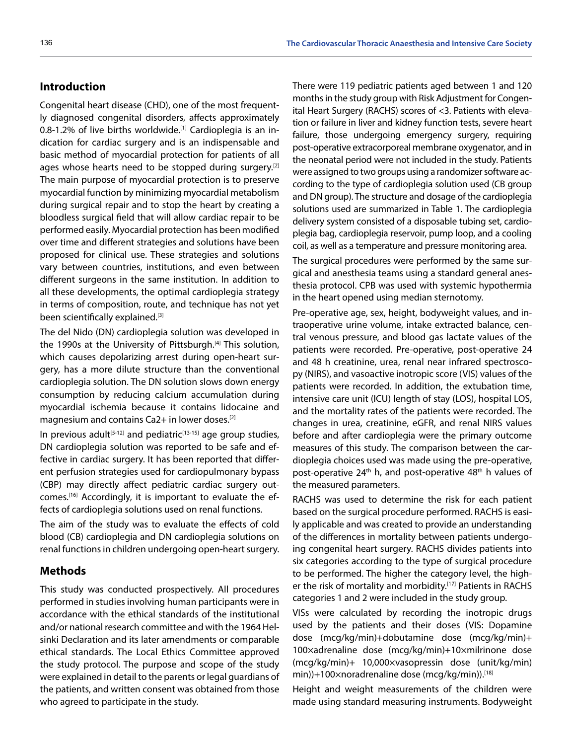## **Introduction**

Congenital heart disease (CHD), one of the most frequently diagnosed congenital disorders, affects approximately 0.8-1.2% of live births worldwide.[1] Cardioplegia is an indication for cardiac surgery and is an indispensable and basic method of myocardial protection for patients of all ages whose hearts need to be stopped during surgery.<sup>[2]</sup> The main purpose of myocardial protection is to preserve myocardial function by minimizing myocardial metabolism during surgical repair and to stop the heart by creating a bloodless surgical field that will allow cardiac repair to be performed easily. Myocardial protection has been modified over time and different strategies and solutions have been proposed for clinical use. These strategies and solutions vary between countries, institutions, and even between different surgeons in the same institution. In addition to all these developments, the optimal cardioplegia strategy in terms of composition, route, and technique has not yet been scientifically explained.[3]

The del Nido (DN) cardioplegia solution was developed in the 1990s at the University of Pittsburgh.[4] This solution, which causes depolarizing arrest during open-heart surgery, has a more dilute structure than the conventional cardioplegia solution. The DN solution slows down energy consumption by reducing calcium accumulation during myocardial ischemia because it contains lidocaine and magnesium and contains Ca2+ in lower doses.[2]

In previous adult<sup>[5-12]</sup> and pediatric<sup>[13-15]</sup> age group studies, DN cardioplegia solution was reported to be safe and effective in cardiac surgery. It has been reported that different perfusion strategies used for cardiopulmonary bypass (CBP) may directly affect pediatric cardiac surgery outcomes.[16] Accordingly, it is important to evaluate the effects of cardioplegia solutions used on renal functions.

The aim of the study was to evaluate the effects of cold blood (CB) cardioplegia and DN cardioplegia solutions on renal functions in children undergoing open-heart surgery.

#### **Methods**

This study was conducted prospectively. All procedures performed in studies involving human participants were in accordance with the ethical standards of the institutional and/or national research committee and with the 1964 Helsinki Declaration and its later amendments or comparable ethical standards. The Local Ethics Committee approved the study protocol. The purpose and scope of the study were explained in detail to the parents or legal guardians of the patients, and written consent was obtained from those who agreed to participate in the study.

There were 119 pediatric patients aged between 1 and 120 months in the study group with Risk Adjustment for Congenital Heart Surgery (RACHS) scores of <3. Patients with elevation or failure in liver and kidney function tests, severe heart failure, those undergoing emergency surgery, requiring post-operative extracorporeal membrane oxygenator, and in the neonatal period were not included in the study. Patients were assigned to two groups using a randomizer software according to the type of cardioplegia solution used (CB group and DN group). The structure and dosage of the cardioplegia solutions used are summarized in Table 1. The cardioplegia delivery system consisted of a disposable tubing set, cardioplegia bag, cardioplegia reservoir, pump loop, and a cooling coil, as well as a temperature and pressure monitoring area.

The surgical procedures were performed by the same surgical and anesthesia teams using a standard general anesthesia protocol. CPB was used with systemic hypothermia in the heart opened using median sternotomy.

Pre-operative age, sex, height, bodyweight values, and intraoperative urine volume, intake extracted balance, central venous pressure, and blood gas lactate values of the patients were recorded. Pre-operative, post-operative 24 and 48 h creatinine, urea, renal near infrared spectroscopy (NIRS), and vasoactive inotropic score (VIS) values of the patients were recorded. In addition, the extubation time, intensive care unit (ICU) length of stay (LOS), hospital LOS, and the mortality rates of the patients were recorded. The changes in urea, creatinine, eGFR, and renal NIRS values before and after cardioplegia were the primary outcome measures of this study. The comparison between the cardioplegia choices used was made using the pre-operative, post-operative 24<sup>th</sup> h, and post-operative 48<sup>th</sup> h values of the measured parameters.

RACHS was used to determine the risk for each patient based on the surgical procedure performed. RACHS is easily applicable and was created to provide an understanding of the differences in mortality between patients undergoing congenital heart surgery. RACHS divides patients into six categories according to the type of surgical procedure to be performed. The higher the category level, the higher the risk of mortality and morbidity.<sup>[17]</sup> Patients in RACHS categories 1 and 2 were included in the study group.

VISs were calculated by recording the inotropic drugs used by the patients and their doses (VIS: Dopamine dose (mcg/kg/min)+dobutamine dose (mcg/kg/min)+ 100×adrenaline dose (mcg/kg/min)+10×milrinone dose (mcg/kg/min)+ 10,000×vasopressin dose (unit/kg/min) min))+100×noradrenaline dose (mcg/kg/min)).<sup>[18]</sup>

Height and weight measurements of the children were made using standard measuring instruments. Bodyweight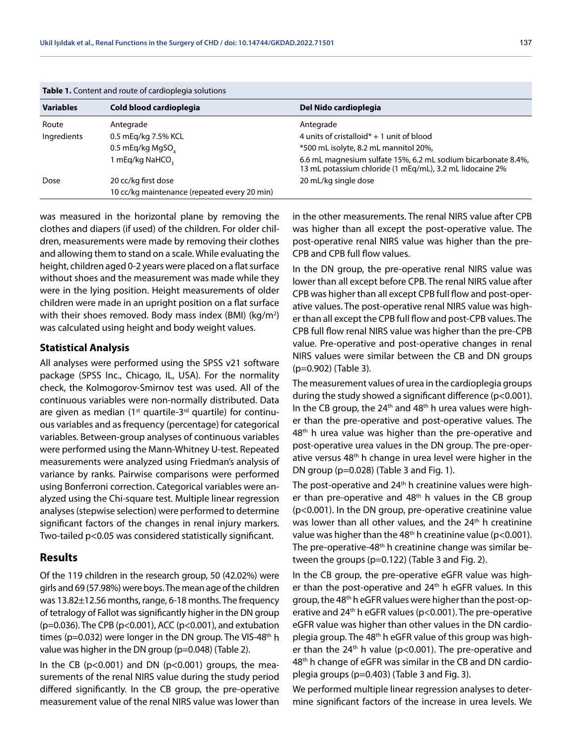| <b>Table 1.</b> Content and route of cardioplegia solutions |                                              |                                                                                                                           |  |  |  |
|-------------------------------------------------------------|----------------------------------------------|---------------------------------------------------------------------------------------------------------------------------|--|--|--|
| <b>Variables</b>                                            | Cold blood cardioplegia                      | Del Nido cardioplegia                                                                                                     |  |  |  |
| Route                                                       | Antegrade                                    | Antegrade                                                                                                                 |  |  |  |
| Ingredients                                                 | 0.5 mEg/kg 7.5% KCL                          | 4 units of cristalloid $* + 1$ unit of blood                                                                              |  |  |  |
|                                                             | 0.5 mEq/kg MgSO                              | *500 mL isolyte, 8.2 mL mannitol 20%,                                                                                     |  |  |  |
|                                                             | 1 mEq/kg NaHCO,                              | 6.6 mL magnesium sulfate 15%, 6.2 mL sodium bicarbonate 8.4%,<br>13 mL potassium chloride (1 mEg/mL), 3.2 mL lidocaine 2% |  |  |  |
| Dose                                                        | 20 cc/kg first dose                          | 20 mL/kg single dose                                                                                                      |  |  |  |
|                                                             | 10 cc/kg maintenance (repeated every 20 min) |                                                                                                                           |  |  |  |

**Table 1.** Content and route of cardioplegia solutions

was measured in the horizontal plane by removing the clothes and diapers (if used) of the children. For older children, measurements were made by removing their clothes and allowing them to stand on a scale. While evaluating the height, children aged 0-2 years were placed on a flat surface without shoes and the measurement was made while they were in the lying position. Height measurements of older children were made in an upright position on a flat surface with their shoes removed. Body mass index (BMI) (kg/m<sup>2</sup>) was calculated using height and body weight values.

#### **Statistical Analysis**

All analyses were performed using the SPSS v21 software package (SPSS Inc., Chicago, IL, USA). For the normality check, the Kolmogorov-Smirnov test was used. All of the continuous variables were non-normally distributed. Data are given as median  $(1<sup>st</sup>$  quartile-3<sup>rd</sup> quartile) for continuous variables and as frequency (percentage) for categorical variables. Between-group analyses of continuous variables were performed using the Mann-Whitney U-test. Repeated measurements were analyzed using Friedman's analysis of variance by ranks. Pairwise comparisons were performed using Bonferroni correction. Categorical variables were analyzed using the Chi-square test. Multiple linear regression analyses (stepwise selection) were performed to determine significant factors of the changes in renal injury markers. Two-tailed p<0.05 was considered statistically significant.

#### **Results**

Of the 119 children in the research group, 50 (42.02%) were girls and 69 (57.98%) were boys. The mean age of the children was 13.82±12.56 months, range, 6-18 months. The frequency of tetralogy of Fallot was significantly higher in the DN group (p=0.036). The CPB (p<0.001), ACC (p<0.001), and extubation times ( $p=0.032$ ) were longer in the DN group. The VIS-48<sup>th</sup> h value was higher in the DN group (p=0.048) (Table 2).

In the CB ( $p<0.001$ ) and DN ( $p<0.001$ ) groups, the measurements of the renal NIRS value during the study period differed significantly. In the CB group, the pre-operative measurement value of the renal NIRS value was lower than

in the other measurements. The renal NIRS value after CPB was higher than all except the post-operative value. The post-operative renal NIRS value was higher than the pre-CPB and CPB full flow values.

In the DN group, the pre-operative renal NIRS value was lower than all except before CPB. The renal NIRS value after CPB was higher than all except CPB full flow and post-operative values. The post-operative renal NIRS value was higher than all except the CPB full flow and post-CPB values. The CPB full flow renal NIRS value was higher than the pre-CPB value. Pre-operative and post-operative changes in renal NIRS values were similar between the CB and DN groups (p=0.902) (Table 3).

The measurement values of urea in the cardioplegia groups during the study showed a significant difference (p<0.001). In the CB group, the  $24<sup>th</sup>$  and  $48<sup>th</sup>$  h urea values were higher than the pre-operative and post-operative values. The 48<sup>th</sup> h urea value was higher than the pre-operative and post-operative urea values in the DN group. The pre-operative versus  $48<sup>th</sup>$  h change in urea level were higher in the DN group (p=0.028) (Table 3 and Fig. 1).

The post-operative and 24<sup>th</sup> h creatinine values were higher than pre-operative and 48th h values in the CB group (p<0.001). In the DN group, pre-operative creatinine value was lower than all other values, and the 24<sup>th</sup> h creatinine value was higher than the  $48<sup>th</sup>$  h creatinine value (p<0.001). The pre-operative-48<sup>th</sup> h creatinine change was similar between the groups (p=0.122) (Table 3 and Fig. 2).

In the CB group, the pre-operative eGFR value was higher than the post-operative and  $24<sup>th</sup>$  h eGFR values. In this group, the 48th h eGFR values were higher than the post-operative and 24<sup>th</sup> h eGFR values (p<0.001). The pre-operative eGFR value was higher than other values in the DN cardioplegia group. The 48<sup>th</sup> h eGFR value of this group was higher than the  $24<sup>th</sup>$  h value (p<0.001). The pre-operative and 48th h change of eGFR was similar in the CB and DN cardioplegia groups (p=0.403) (Table 3 and Fig. 3).

We performed multiple linear regression analyses to determine significant factors of the increase in urea levels. We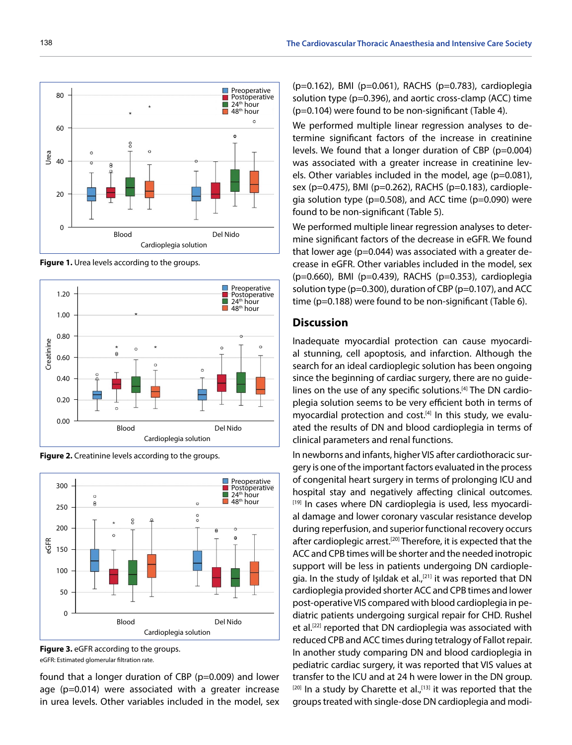

**Figure 1.** Urea levels according to the groups.









found that a longer duration of CBP (p=0.009) and lower age (p=0.014) were associated with a greater increase in urea levels. Other variables included in the model, sex (p=0.162), BMI (p=0.061), RACHS (p=0.783), cardioplegia solution type (p=0.396), and aortic cross-clamp (ACC) time (p=0.104) were found to be non-significant (Table 4).

We performed multiple linear regression analyses to determine significant factors of the increase in creatinine levels. We found that a longer duration of CBP (p=0.004) was associated with a greater increase in creatinine levels. Other variables included in the model, age (p=0.081), sex (p=0.475), BMI (p=0.262), RACHS (p=0.183), cardioplegia solution type (p=0.508), and ACC time (p=0.090) were found to be non-significant (Table 5).

We performed multiple linear regression analyses to determine significant factors of the decrease in eGFR. We found that lower age (p=0.044) was associated with a greater decrease in eGFR. Other variables included in the model, sex (p=0.660), BMI (p=0.439), RACHS (p=0.353), cardioplegia solution type (p=0.300), duration of CBP (p=0.107), and ACC time (p=0.188) were found to be non-significant (Table 6).

#### **Discussion**

Inadequate myocardial protection can cause myocardial stunning, cell apoptosis, and infarction. Although the search for an ideal cardioplegic solution has been ongoing since the beginning of cardiac surgery, there are no guidelines on the use of any specific solutions.<sup>[4]</sup> The DN cardioplegia solution seems to be very efficient both in terms of myocardial protection and cost. $[4]$  In this study, we evaluated the results of DN and blood cardioplegia in terms of clinical parameters and renal functions.

In newborns and infants, higher VIS after cardiothoracic surgery is one of the important factors evaluated in the process of congenital heart surgery in terms of prolonging ICU and hospital stay and negatively affecting clinical outcomes. [19] In cases where DN cardioplegia is used, less myocardial damage and lower coronary vascular resistance develop during reperfusion, and superior functional recovery occurs after cardioplegic arrest.[20] Therefore, it is expected that the ACC and CPB times will be shorter and the needed inotropic support will be less in patients undergoing DN cardioplegia. In the study of Işıldak et al.,<sup>[21]</sup> it was reported that DN cardioplegia provided shorter ACC and CPB times and lower post-operative VIS compared with blood cardioplegia in pediatric patients undergoing surgical repair for CHD. Rushel et al.[22] reported that DN cardioplegia was associated with reduced CPB and ACC times during tetralogy of Fallot repair. In another study comparing DN and blood cardioplegia in pediatric cardiac surgery, it was reported that VIS values at transfer to the ICU and at 24 h were lower in the DN group.  $[20]$  In a study by Charette et al., $[13]$  it was reported that the groups treated with single-dose DN cardioplegia and modi-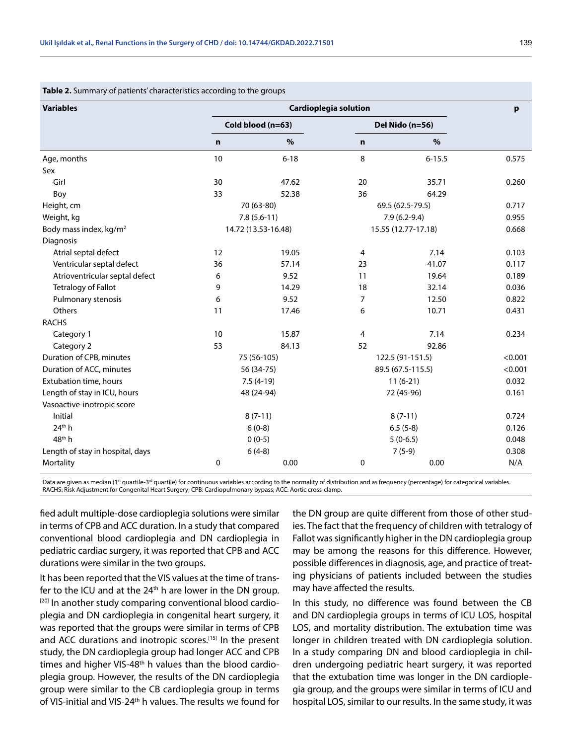| <b>Variables</b>                   | <b>Cardioplegia solution</b> |                     |                |                     | p       |
|------------------------------------|------------------------------|---------------------|----------------|---------------------|---------|
|                                    |                              | Cold blood (n=63)   |                | Del Nido (n=56)     |         |
|                                    | n                            | %                   | $\mathbf n$    | %                   |         |
| Age, months                        | 10                           | $6 - 18$            | 8              | $6 - 15.5$          | 0.575   |
| Sex                                |                              |                     |                |                     |         |
| Girl                               | 30                           | 47.62               | 20             | 35.71               | 0.260   |
| Boy                                | 33                           | 52.38               | 36             | 64.29               |         |
| Height, cm                         |                              | 70 (63-80)          |                | 69.5 (62.5-79.5)    | 0.717   |
| Weight, kg                         |                              | $7.8(5.6-11)$       |                | $7.9(6.2-9.4)$      | 0.955   |
| Body mass index, kg/m <sup>2</sup> |                              | 14.72 (13.53-16.48) |                | 15.55 (12.77-17.18) | 0.668   |
| Diagnosis                          |                              |                     |                |                     |         |
| Atrial septal defect               | 12                           | 19.05               | $\overline{4}$ | 7.14                | 0.103   |
| Ventricular septal defect          | 36                           | 57.14               | 23             | 41.07               | 0.117   |
| Atrioventricular septal defect     | 6                            | 9.52                | 11             | 19.64               | 0.189   |
| <b>Tetralogy of Fallot</b>         | 9                            | 14.29               | 18             | 32.14               | 0.036   |
| Pulmonary stenosis                 | 6                            | 9.52                | 7              | 12.50               | 0.822   |
| Others                             | 11                           | 17.46               | 6              | 10.71               | 0.431   |
| <b>RACHS</b>                       |                              |                     |                |                     |         |
| Category 1                         | 10                           | 15.87               | $\overline{4}$ | 7.14                | 0.234   |
| Category 2                         | 53                           | 84.13               | 52             | 92.86               |         |
| Duration of CPB, minutes           |                              | 75 (56-105)         |                | 122.5 (91-151.5)    | < 0.001 |
| Duration of ACC, minutes           |                              | 56 (34-75)          |                | 89.5 (67.5-115.5)   |         |
| Extubation time, hours             | $7.5(4-19)$                  |                     | $11(6-21)$     |                     | 0.032   |
| Length of stay in ICU, hours       | 48 (24-94)                   |                     | 72 (45-96)     |                     | 0.161   |
| Vasoactive-inotropic score         |                              |                     |                |                     |         |
| Initial                            |                              | $8(7-11)$           |                | $8(7-11)$           | 0.724   |
| 24 <sup>th</sup> h                 |                              | $6(0-8)$            |                | $6.5(5-8)$          | 0.126   |
| 48 <sup>th</sup> h                 |                              | $0(0-5)$            |                | $5(0-6.5)$          | 0.048   |
| Length of stay in hospital, days   |                              | $6(4-8)$            |                | $7(5-9)$            | 0.308   |
| Mortality                          | 0                            | 0.00                | 0              | 0.00                | N/A     |

#### **Table 2.** Summary of patients' characteristics according to the groups

Data are given as median (1<sup>st</sup> quartile-3<sup>rd</sup> quartile) for continuous variables according to the normality of distribution and as frequency (percentage) for categorical variables. RACHS: Risk Adjustment for Congenital Heart Surgery; CPB: Cardiopulmonary bypass; ACC: Aortic cross-clamp.

fied adult multiple-dose cardioplegia solutions were similar in terms of CPB and ACC duration. In a study that compared conventional blood cardioplegia and DN cardioplegia in pediatric cardiac surgery, it was reported that CPB and ACC durations were similar in the two groups.

It has been reported that the VIS values at the time of transfer to the ICU and at the  $24<sup>th</sup>$  h are lower in the DN group. [20] In another study comparing conventional blood cardioplegia and DN cardioplegia in congenital heart surgery, it was reported that the groups were similar in terms of CPB and ACC durations and inotropic scores.<sup>[15]</sup> In the present study, the DN cardioplegia group had longer ACC and CPB times and higher VIS-48<sup>th</sup> h values than the blood cardioplegia group. However, the results of the DN cardioplegia group were similar to the CB cardioplegia group in terms of VIS-initial and VIS-24<sup>th</sup> h values. The results we found for

the DN group are quite different from those of other studies. The fact that the frequency of children with tetralogy of Fallot was significantly higher in the DN cardioplegia group may be among the reasons for this difference. However, possible differences in diagnosis, age, and practice of treating physicians of patients included between the studies may have affected the results.

In this study, no difference was found between the CB and DN cardioplegia groups in terms of ICU LOS, hospital LOS, and mortality distribution. The extubation time was longer in children treated with DN cardioplegia solution. In a study comparing DN and blood cardioplegia in children undergoing pediatric heart surgery, it was reported that the extubation time was longer in the DN cardioplegia group, and the groups were similar in terms of ICU and hospital LOS, similar to our results. In the same study, it was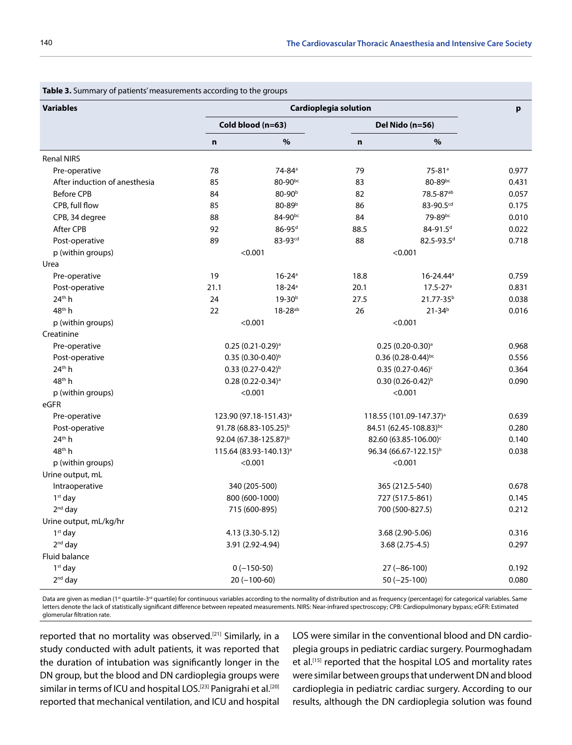| <b>Variables</b>              | <b>Cardioplegia solution</b> |                                    |                 |                                     |       |
|-------------------------------|------------------------------|------------------------------------|-----------------|-------------------------------------|-------|
|                               | Cold blood (n=63)            |                                    | Del Nido (n=56) |                                     |       |
|                               | $\mathbf n$                  | %                                  | n               | %                                   |       |
| <b>Renal NIRS</b>             |                              |                                    |                 |                                     |       |
| Pre-operative                 | 78                           | 74-84 <sup>a</sup>                 | 79              | 75-81 <sup>a</sup>                  | 0.977 |
| After induction of anesthesia | 85                           | 80-90bc                            | 83              | 80-89bc                             | 0.431 |
| <b>Before CPB</b>             | 84                           | 80-90 <sup>b</sup>                 | 82              | 78.5-87ab                           | 0.057 |
| CPB, full flow                | 85                           | 80-89b                             | 86              | 83-90.5cd                           | 0.175 |
| CPB, 34 degree                | 88                           | 84-90bc                            | 84              | 79-89bc                             | 0.010 |
| After CPB                     | 92                           | $86 - 95$ <sup>d</sup>             | 88.5            | 84-91.5 <sup>d</sup>                | 0.022 |
| Post-operative                | 89                           | 83-93 <sup>cd</sup>                | 88              | 82.5-93.5 <sup>d</sup>              | 0.718 |
| p (within groups)             |                              | < 0.001                            |                 | < 0.001                             |       |
| Urea                          |                              |                                    |                 |                                     |       |
| Pre-operative                 | 19                           | $16 - 24$ <sup>a</sup>             | 18.8            | 16-24.44 <sup>a</sup>               | 0.759 |
| Post-operative                | 21.1                         | $18 - 24$ <sup>a</sup>             | 20.1            | $17.5 - 27$ <sup>a</sup>            | 0.831 |
| 24th h                        | 24                           | 19-30 <sup>b</sup>                 | 27.5            | 21.77-35 <sup>b</sup>               | 0.038 |
| 48 <sup>th</sup> h            | 22                           | $18 - 28^{ab}$                     | 26              | $21 - 34b$                          | 0.016 |
| p (within groups)             |                              | < 0.001                            |                 | < 0.001                             |       |
| Creatinine                    |                              |                                    |                 |                                     |       |
| Pre-operative                 |                              | $0.25(0.21-0.29)$ <sup>a</sup>     |                 | $0.25(0.20-0.30)$ <sup>a</sup>      | 0.968 |
| Post-operative                |                              | $0.35(0.30-0.40)^{b}$              |                 | $0.36$ (0.28-0.44) <sup>bc</sup>    | 0.556 |
| 24 <sup>th</sup> h            |                              | $0.33(0.27-0.42)^{b}$              |                 | $0.35(0.27 - 0.46)^c$               | 0.364 |
| 48 <sup>th</sup> h            |                              | $0.28(0.22 - 0.34)$ <sup>a</sup>   |                 | $0.30(0.26 - 0.42)^{b}$             | 0.090 |
| p (within groups)             |                              | < 0.001                            |                 | < 0.001                             |       |
| eGFR                          |                              |                                    |                 |                                     |       |
| Pre-operative                 |                              | 123.90 (97.18-151.43) <sup>a</sup> |                 | 118.55 (101.09-147.37) <sup>a</sup> | 0.639 |
| Post-operative                |                              | 91.78 (68.83-105.25) <sup>b</sup>  |                 | 84.51 (62.45-108.83)bc              | 0.280 |
| 24 <sup>th</sup> h            |                              | 92.04 (67.38-125.87) <sup>b</sup>  |                 | 82.60 (63.85-106.00) <sup>c</sup>   | 0.140 |
| 48 <sup>th</sup> h            |                              | 115.64 (83.93-140.13) <sup>a</sup> |                 | 96.34 (66.67-122.15) <sup>b</sup>   | 0.038 |
| p (within groups)             |                              | < 0.001                            |                 | < 0.001                             |       |
| Urine output, mL              |                              |                                    |                 |                                     |       |
| Intraoperative                |                              | 340 (205-500)                      |                 | 365 (212.5-540)                     | 0.678 |
| $1st$ day                     |                              | 800 (600-1000)                     |                 | 727 (517.5-861)                     | 0.145 |
| $2nd$ day                     |                              | 715 (600-895)                      |                 | 700 (500-827.5)                     | 0.212 |
| Urine output, mL/kg/hr        |                              |                                    |                 |                                     |       |
| $1st$ day                     |                              | 4.13 (3.30-5.12)                   |                 | 3.68 (2.90-5.06)                    | 0.316 |
| $2nd$ day                     |                              | 3.91 (2.92-4.94)                   |                 | 3.68 (2.75-4.5)                     | 0.297 |
| Fluid balance                 |                              |                                    |                 |                                     |       |
| $1st$ day                     |                              | $0(-150-50)$                       |                 | $27 (-86-100)$                      | 0.192 |
| $2nd$ day                     |                              | $20 (-100-60)$                     |                 | $50 (-25-100)$                      | 0.080 |

**Table 3.** Summary of patients' measurements according to the groups

Data are given as median (1<sup>st</sup> quartile-3<sup>rd</sup> quartile) for continuous variables according to the normality of distribution and as frequency (percentage) for categorical variables. Same letters denote the lack of statistically significant difference between repeated measurements. NIRS: Near-infrared spectroscopy; CPB: Cardiopulmonary bypass; eGFR: Estimated glomerular filtration rate.

reported that no mortality was observed.<sup>[21]</sup> Similarly, in a study conducted with adult patients, it was reported that the duration of intubation was significantly longer in the DN group, but the blood and DN cardioplegia groups were similar in terms of ICU and hospital LOS.<sup>[23]</sup> Panigrahi et al.<sup>[20]</sup> reported that mechanical ventilation, and ICU and hospital LOS were similar in the conventional blood and DN cardioplegia groups in pediatric cardiac surgery. Pourmoghadam et al.<sup>[15]</sup> reported that the hospital LOS and mortality rates were similar between groups that underwent DN and blood cardioplegia in pediatric cardiac surgery. According to our results, although the DN cardioplegia solution was found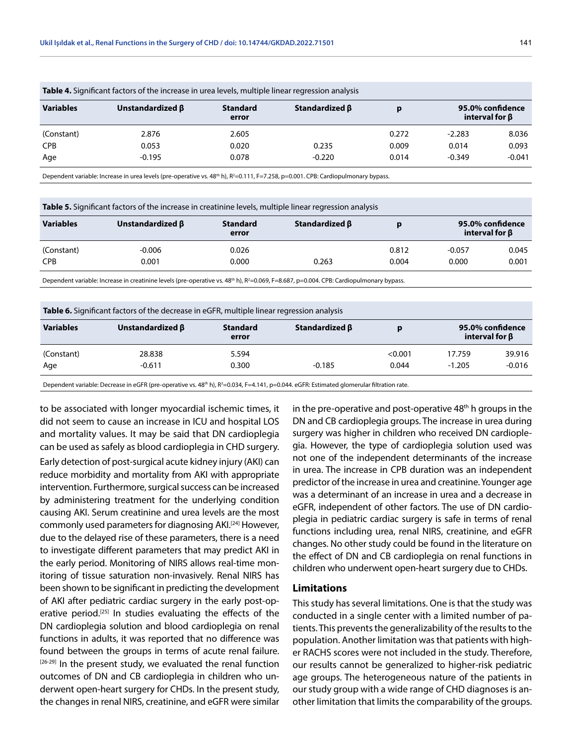| <b>TWEER</b> TO POSITION IN THE COLOR IN THE CASE IN MICH TO POSITION TO A CONSTITUTION TO A POST OF THE MICH TO A POST OF THE MICH TO A POST OF THE MICH TO A POST OF THE MICH TO A POST OF THE MICH TO A POST OF THE MICH TO A PO |                        |                          |                      |       |                                          |          |  |
|-------------------------------------------------------------------------------------------------------------------------------------------------------------------------------------------------------------------------------------|------------------------|--------------------------|----------------------|-------|------------------------------------------|----------|--|
| <b>Variables</b>                                                                                                                                                                                                                    | Unstandardized $\beta$ | <b>Standard</b><br>error | Standardized $\beta$ | p     | 95.0% confidence<br>interval for $\beta$ |          |  |
| (Constant)                                                                                                                                                                                                                          | 2.876                  | 2.605                    |                      | 0.272 | $-2.283$                                 | 8.036    |  |
| <b>CPB</b>                                                                                                                                                                                                                          | 0.053                  | 0.020                    | 0.235                | 0.009 | 0.014                                    | 0.093    |  |
| Age                                                                                                                                                                                                                                 | $-0.195$               | 0.078                    | $-0.220$             | 0.014 | $-0.349$                                 | $-0.041$ |  |

**Table 4.** Significant factors of the increase in urea levels, multiple linear regression analysis

Dependent variable: Increase in urea levels (pre-operative vs. 48<sup>th</sup> h), R<sup>2</sup>=0.111, F=7.258, p=0.001. CPB: Cardiopulmonary bypass.

| <b>Table 5.</b> Significant factors of the increase in creatinine levels, multiple linear regression analysis |                        |                          |                      |       |                                          |       |  |
|---------------------------------------------------------------------------------------------------------------|------------------------|--------------------------|----------------------|-------|------------------------------------------|-------|--|
| <b>Variables</b>                                                                                              | Unstandardized $\beta$ | <b>Standard</b><br>error | Standardized $\beta$ |       | 95.0% confidence<br>interval for $\beta$ |       |  |
| (Constant)                                                                                                    | $-0.006$               | 0.026                    |                      | 0.812 | $-0.057$                                 | 0.045 |  |
| <b>CPB</b>                                                                                                    | 0.001                  | 0.000                    | 0.263                | 0.004 | 0.000                                    | 0.001 |  |
|                                                                                                               |                        |                          |                      |       |                                          |       |  |

Dependent variable: Increase in creatinine levels (pre-operative vs. 48<sup>th</sup> h), R<sup>2</sup>=0.069, F=8.687, p=0.004. CPB: Cardiopulmonary bypass.

| Table 6. Significant factors of the decrease in eGFR, multiple linear regression analysis |                        |                          |                |         |                                          |          |  |
|-------------------------------------------------------------------------------------------|------------------------|--------------------------|----------------|---------|------------------------------------------|----------|--|
| <b>Variables</b>                                                                          | Unstandardized $\beta$ | <b>Standard</b><br>error | Standardized β | D       | 95.0% confidence<br>interval for $\beta$ |          |  |
| (Constant)                                                                                | 28.838                 | 5.594                    |                | < 0.001 | 17.759                                   | 39.916   |  |
| Age                                                                                       | $-0.611$               | 0.300                    | $-0.185$       | 0.044   | $-1.205$                                 | $-0.016$ |  |

Dependent variable: Decrease in eGFR (pre-operative vs. 48ʰ h), R²=0.034, F=4.141, p=0.044. eGFR: Estimated glomerular filtration rate.

to be associated with longer myocardial ischemic times, it did not seem to cause an increase in ICU and hospital LOS and mortality values. It may be said that DN cardioplegia can be used as safely as blood cardioplegia in CHD surgery. Early detection of post-surgical acute kidney injury (AKI) can reduce morbidity and mortality from AKI with appropriate intervention. Furthermore, surgical success can be increased by administering treatment for the underlying condition causing AKI. Serum creatinine and urea levels are the most commonly used parameters for diagnosing AKI.[24] However, due to the delayed rise of these parameters, there is a need to investigate different parameters that may predict AKI in the early period. Monitoring of NIRS allows real-time monitoring of tissue saturation non-invasively. Renal NIRS has been shown to be significant in predicting the development of AKI after pediatric cardiac surgery in the early post-operative period.<sup>[25]</sup> In studies evaluating the effects of the DN cardioplegia solution and blood cardioplegia on renal functions in adults, it was reported that no difference was found between the groups in terms of acute renal failure.  $[26-29]$  In the present study, we evaluated the renal function outcomes of DN and CB cardioplegia in children who underwent open-heart surgery for CHDs. In the present study, the changes in renal NIRS, creatinine, and eGFR were similar in the pre-operative and post-operative  $48<sup>th</sup>$  h groups in the DN and CB cardioplegia groups. The increase in urea during surgery was higher in children who received DN cardioplegia. However, the type of cardioplegia solution used was not one of the independent determinants of the increase in urea. The increase in CPB duration was an independent predictor of the increase in urea and creatinine. Younger age was a determinant of an increase in urea and a decrease in eGFR, independent of other factors. The use of DN cardioplegia in pediatric cardiac surgery is safe in terms of renal functions including urea, renal NIRS, creatinine, and eGFR changes. No other study could be found in the literature on the effect of DN and CB cardioplegia on renal functions in children who underwent open-heart surgery due to CHDs.

#### **Limitations**

This study has several limitations. One is that the study was conducted in a single center with a limited number of patients. This prevents the generalizability of the results to the population. Another limitation was that patients with higher RACHS scores were not included in the study. Therefore, our results cannot be generalized to higher-risk pediatric age groups. The heterogeneous nature of the patients in our study group with a wide range of CHD diagnoses is another limitation that limits the comparability of the groups.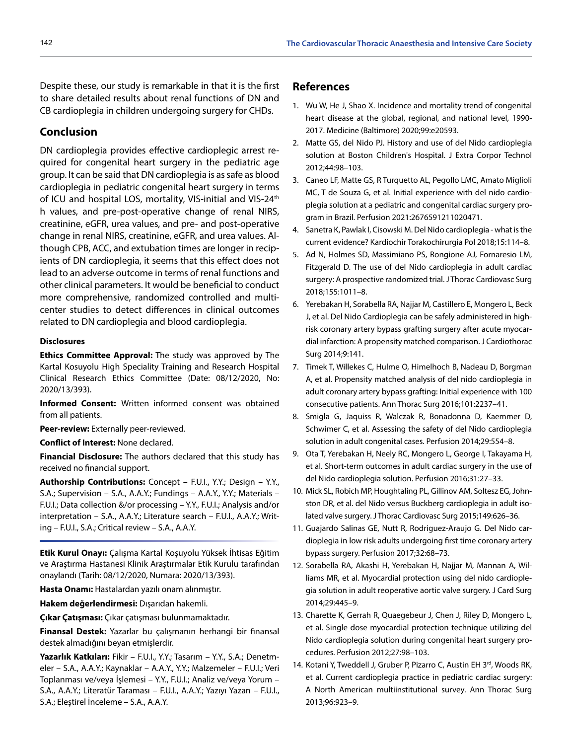Despite these, our study is remarkable in that it is the first to share detailed results about renal functions of DN and CB cardioplegia in children undergoing surgery for CHDs.

## **Conclusion**

DN cardioplegia provides effective cardioplegic arrest required for congenital heart surgery in the pediatric age group. It can be said that DN cardioplegia is as safe as blood cardioplegia in pediatric congenital heart surgery in terms of ICU and hospital LOS, mortality, VIS-initial and VIS-24<sup>th</sup> h values, and pre-post-operative change of renal NIRS, creatinine, eGFR, urea values, and pre- and post-operative change in renal NIRS, creatinine, eGFR, and urea values. Although CPB, ACC, and extubation times are longer in recipients of DN cardioplegia, it seems that this effect does not lead to an adverse outcome in terms of renal functions and other clinical parameters. It would be beneficial to conduct more comprehensive, randomized controlled and multicenter studies to detect differences in clinical outcomes related to DN cardioplegia and blood cardioplegia.

#### **Disclosures**

**Ethics Committee Approval:** The study was approved by The Kartal Kosuyolu High Speciality Training and Research Hospital Clinical Research Ethics Committee (Date: 08/12/2020, No: 2020/13/393).

**Informed Consent:** Written informed consent was obtained from all patients.

**Peer-review:** Externally peer-reviewed.

**Conflict of Interest:** None declared.

**Financial Disclosure:** The authors declared that this study has received no financial support.

**Authorship Contributions:** Concept – F.U.I., Y.Y.; Design – Y.Y., S.A.; Supervision – S.A., A.A.Y.; Fundings – A.A.Y., Y.Y.; Materials – F.U.I.; Data collection &/or processing – Y.Y., F.U.I.; Analysis and/or interpretation – S.A., A.A.Y.; Literature search – F.U.I., A.A.Y.; Writing – F.U.I., S.A.; Critical review – S.A., A.A.Y.

**Etik Kurul Onayı:** Çalışma Kartal Koşuyolu Yüksek İhtisas Eğitim ve Araştırma Hastanesi Klinik Araştırmalar Etik Kurulu tarafından onaylandı (Tarih: 08/12/2020, Numara: 2020/13/393).

**Hasta Onamı:** Hastalardan yazılı onam alınmıştır.

**Hakem değerlendirmesi:** Dışarıdan hakemli.

**Çıkar Çatışması:** Çıkar çatışması bulunmamaktadır.

**Finansal Destek:** Yazarlar bu çalışmanın herhangi bir finansal destek almadığını beyan etmişlerdir.

**Yazarlık Katkıları:** Fikir – F.U.I., Y.Y.; Tasarım – Y.Y., S.A.; Denetmeler – S.A., A.A.Y.; Kaynaklar – A.A.Y., Y.Y.; Malzemeler – F.U.I.; Veri Toplanması ve/veya İşlemesi – Y.Y., F.U.I.; Analiz ve/veya Yorum – S.A., A.A.Y.; Literatür Taraması – F.U.I., A.A.Y.; Yazıyı Yazan – F.U.I., S.A.; Eleştirel İnceleme – S.A., A.A.Y.

#### **References**

- 1. Wu W, He J, Shao X. Incidence and mortality trend of congenital heart disease at the global, regional, and national level, 1990- 2017. Medicine (Baltimore) 2020;99:e20593.
- 2. Matte GS, del Nido PJ. History and use of del Nido cardioplegia solution at Boston Children's Hospital. J Extra Corpor Technol 2012;44:98–103.
- 3. Caneo LF, Matte GS, R Turquetto AL, Pegollo LMC, Amato Miglioli MC, T de Souza G, et al. Initial experience with del nido cardioplegia solution at a pediatric and congenital cardiac surgery program in Brazil. Perfusion 2021:2676591211020471.
- 4. Sanetra K, Pawlak I, Cisowski M. Del Nido cardioplegia what is the current evidence? Kardiochir Torakochirurgia Pol 2018;15:114–8.
- 5. Ad N, Holmes SD, Massimiano PS, Rongione AJ, Fornaresio LM, Fitzgerald D. The use of del Nido cardioplegia in adult cardiac surgery: A prospective randomized trial. J Thorac Cardiovasc Surg 2018;155:1011–8.
- 6. Yerebakan H, Sorabella RA, Najjar M, Castillero E, Mongero L, Beck J, et al. Del Nido Cardioplegia can be safely administered in highrisk coronary artery bypass grafting surgery after acute myocardial infarction: A propensity matched comparison. J Cardiothorac Surg 2014;9:141.
- 7. Timek T, Willekes C, Hulme O, Himelhoch B, Nadeau D, Borgman A, et al. Propensity matched analysis of del nido cardioplegia in adult coronary artery bypass grafting: Initial experience with 100 consecutive patients. Ann Thorac Surg 2016;101:2237–41.
- 8. Smigla G, Jaquiss R, Walczak R, Bonadonna D, Kaemmer D, Schwimer C, et al. Assessing the safety of del Nido cardioplegia solution in adult congenital cases. Perfusion 2014;29:554–8.
- 9. Ota T, Yerebakan H, Neely RC, Mongero L, George I, Takayama H, et al. Short-term outcomes in adult cardiac surgery in the use of del Nido cardioplegia solution. Perfusion 2016;31:27–33.
- 10. Mick SL, Robich MP, Houghtaling PL, Gillinov AM, Soltesz EG, Johnston DR, et al. del Nido versus Buckberg cardioplegia in adult isolated valve surgery. J Thorac Cardiovasc Surg 2015;149:626–36.
- 11. Guajardo Salinas GE, Nutt R, Rodriguez-Araujo G. Del Nido cardioplegia in low risk adults undergoing first time coronary artery bypass surgery. Perfusion 2017;32:68–73.
- 12. Sorabella RA, Akashi H, Yerebakan H, Najjar M, Mannan A, Williams MR, et al. Myocardial protection using del nido cardioplegia solution in adult reoperative aortic valve surgery. J Card Surg 2014;29:445–9.
- 13. Charette K, Gerrah R, Quaegebeur J, Chen J, Riley D, Mongero L, et al. Single dose myocardial protection technique utilizing del Nido cardioplegia solution during congenital heart surgery procedures. Perfusion 2012;27:98–103.
- 14. Kotani Y, Tweddell J, Gruber P, Pizarro C, Austin EH 3rd, Woods RK, et al. Current cardioplegia practice in pediatric cardiac surgery: A North American multiinstitutional survey. Ann Thorac Surg 2013;96:923–9.